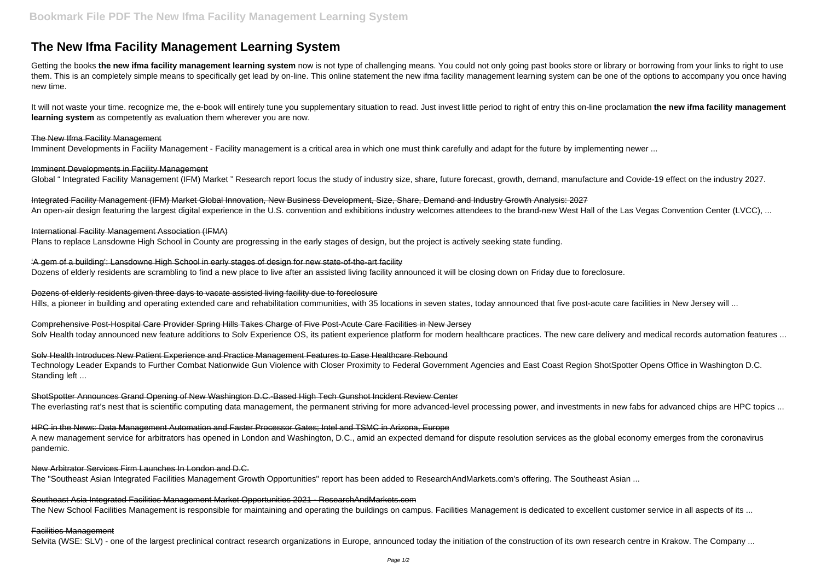# **The New Ifma Facility Management Learning System**

Getting the books the new ifma facility management learning system now is not type of challenging means. You could not only going past books store or library or borrowing from your links to right to use them. This is an completely simple means to specifically get lead by on-line. This online statement the new ifma facility management learning system can be one of the options to accompany you once having new time.

Imminent Developments in Facility Management Global "Integrated Facility Management (IFM) Market "Research report focus the study of industry size, share, future forecast, growth, demand, manufacture and Covide-19 effect on the industry 2027.

Integrated Facility Management (IFM) Market Global Innovation, New Business Development, Size, Share, Demand and Industry Growth Analysis: 2027 An open-air design featuring the largest digital experience in the U.S. convention and exhibitions industry welcomes attendees to the brand-new West Hall of the Las Vegas Convention Center (LVCC), ...

It will not waste your time. recognize me, the e-book will entirely tune you supplementary situation to read. Just invest little period to right of entry this on-line proclamation **the new ifma facility management learning system** as competently as evaluation them wherever you are now.

#### The New Ifma Facility Management

Imminent Developments in Facility Management - Facility management is a critical area in which one must think carefully and adapt for the future by implementing newer ...

'A gem of a building': Lansdowne High School in early stages of design for new state-of-the-art facility Dozens of elderly residents are scrambling to find a new place to live after an assisted living facility announced it will be closing down on Friday due to foreclosure.

Dozens of elderly residents given three days to vacate assisted living facility due to foreclosure Hills, a pioneer in building and operating extended care and rehabilitation communities, with 35 locations in seven states, today announced that five post-acute care facilities in New Jersey will ...

Comprehensive Post-Hospital Care Provider Spring Hills Takes Charge of Five Post-Acute Care Facilities in New Jersey Solv Health today announced new feature additions to Solv Experience OS, its patient experience platform for modern healthcare practices. The new care delivery and medical records automation features ...

Solv Health Introduces New Patient Experience and Practice Management Features to Ease Healthcare Rebound Technology Leader Expands to Further Combat Nationwide Gun Violence with Closer Proximity to Federal Government Agencies and East Coast Region ShotSpotter Opens Office in Washington D.C. Standing left ...

ShotSpotter Announces Grand Opening of New Washington D.C.-Based High Tech Gunshot Incident Review Center The everlasting rat's nest that is scientific computing data management, the permanent striving for more advanced-level processing power, and investments in new fabs for advanced chips are HPC topics ...

#### International Facility Management Association (IFMA)

Plans to replace Lansdowne High School in County are progressing in the early stages of design, but the project is actively seeking state funding.

Southeast Asia Integrated Facilities Management Market Opportunities 2021 - ResearchAndMarkets.com The New School Facilities Management is responsible for maintaining and operating the buildings on campus. Facilities Management is dedicated to excellent customer service in all aspects of its ...

HPC in the News: Data Management Automation and Faster Processor Gates; Intel and TSMC in Arizona, Europe A new management service for arbitrators has opened in London and Washington, D.C., amid an expected demand for dispute resolution services as the global economy emerges from the coronavirus pandemic.

#### New Arbitrator Services Firm Launches In London and D.C.

The "Southeast Asian Integrated Facilities Management Growth Opportunities" report has been added to ResearchAndMarkets.com's offering. The Southeast Asian ...

#### Facilities Management

Selvita (WSE: SLV) - one of the largest preclinical contract research organizations in Europe, announced today the initiation of the construction of its own research centre in Krakow. The Company ...